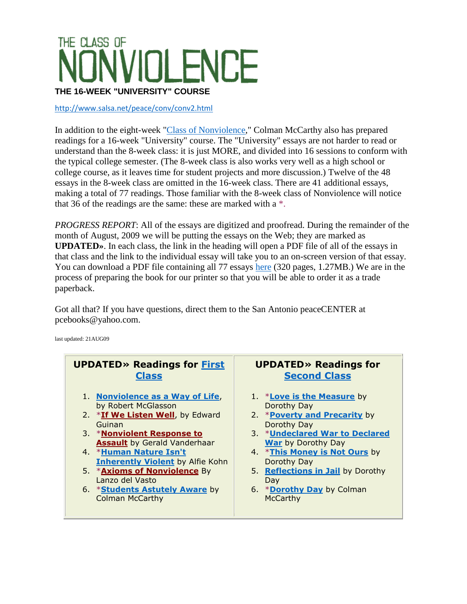## THE CLASS OF **IOLENCE THE 16-WEEK "UNIVERSITY" COURSE**

<http://www.salsa.net/peace/conv/conv2.html>

In addition to the eight-week ["Class of Nonviolence,](http://www.salsa.net/peace/conv/index.html)" Colman McCarthy also has prepared readings for a 16-week "University" course. The "University" essays are not harder to read or understand than the 8-week class: it is just MORE, and divided into 16 sessions to conform with the typical college semester. (The 8-week class is also works very well as a high school or college course, as it leaves time for student projects and more discussion.) Twelve of the 48 essays in the 8-week class are omitted in the 16-week class. There are 41 additional essays, making a total of 77 readings. Those familiar with the 8-week class of Nonviolence will notice that 36 of the readings are the same: these are marked with a \*.

*PROGRESS REPORT*: All of the essays are digitized and proofread. During the remainder of the month of August, 2009 we will be putting the essays on the Web; they are marked as **UPDATED»**. In each class, the link in the heading will open a PDF file of all of the essays in that class and the link to the individual essay will take you to an on-screen version of that essay. You can download a PDF file containing all 77 essays [here](http://www.salsa.net/peace/conv/convuniversityessays.pdf) (320 pages, 1.27MB.) We are in the process of preparing the book for our printer so that you will be able to order it as a trade paperback.

Got all that? If you have questions, direct them to the San Antonio peaceCENTER at pcebooks@yahoo.com.

last updated: 21AUG09

## **UPDATED» Readings for [First](http://www.salsa.net/peace/conv/1-introduction.pdf)  [Class](http://www.salsa.net/peace/conv/1-introduction.pdf)**

- 1. **[Nonviolence as a Way of Life](http://www.salsa.net/peace/conv/conv2-1-1.html)**, by Robert McGlasson
- 2. \***[If We Listen Well](http://www.salsa.net/peace/conv/conv-1-2.html)**, by Edward Guinan
- 3. \***[Nonviolent Response to](http://www.salsa.net/peace/conv/conv2-1-3.html)  [Assault](http://www.salsa.net/peace/conv/conv2-1-3.html)** by Gerald Vanderhaar
- 4. \***[Human Nature Isn't](http://www.salsa.net/peace/conv/conv2-1-4.html)  [Inherently Violent](http://www.salsa.net/peace/conv/conv2-1-4.html)** by Alfie Kohn
- 5. \***[Axioms of Nonviolence](http://www.salsa.net/peace/conv/conv2-1-5.html)** By Lanzo del Vasto
- 6. \***[Students Astutely Aware](http://www.salsa.net/peace/conv/conv2-1-6.html)** by Colman McCarthy

## **UPDATED» Readings for [Second Class](http://www.salsa.net/peace/conv/2-dorothyday.pdf)**

- 1. \***[Love is the Measure](http://www.salsa.net/peace/conv/conv2-2-1.html)** by Dorothy Day
- 2. \***[Poverty and Precarity](http://www.salsa.net/peace/conv/conv2-2-2.html)** by Dorothy Day
- 3. \***[Undeclared War to Declared](http://www.salsa.net/peace/conv/conv2-2-3.html)  [War](http://www.salsa.net/peace/conv/conv2-2-3.html)** by Dorothy Day
- 4. \***[This Money is Not Ours](http://www.salsa.net/peace/conv/conv2-2-4.html)** by Dorothy Day
- 5. **[Reflections in Jail](http://www.salsa.net/peace/conv/conv2-2-5.html)** by Dorothy Day
- 6. \***[Dorothy Day](http://www.salsa.net/peace/conv/conv2-2-6.html)** by Colman **McCarthy**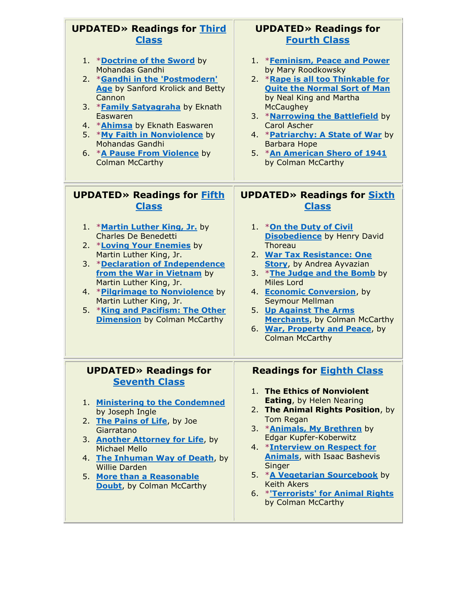| <b>UPDATED» Readings for Third</b>                                                                                                                                                                                                                                                                                                                           | <b>UPDATED» Readings for</b>                                                                                                                                                                                                                                                                                                                                                                                         |
|--------------------------------------------------------------------------------------------------------------------------------------------------------------------------------------------------------------------------------------------------------------------------------------------------------------------------------------------------------------|----------------------------------------------------------------------------------------------------------------------------------------------------------------------------------------------------------------------------------------------------------------------------------------------------------------------------------------------------------------------------------------------------------------------|
| <b>Class</b>                                                                                                                                                                                                                                                                                                                                                 | <b>Fourth Class</b>                                                                                                                                                                                                                                                                                                                                                                                                  |
| 1. *Doctrine of the Sword by                                                                                                                                                                                                                                                                                                                                 | 1. *Feminism, Peace and Power                                                                                                                                                                                                                                                                                                                                                                                        |
| Mohandas Gandhi                                                                                                                                                                                                                                                                                                                                              | by Mary Roodkowsky                                                                                                                                                                                                                                                                                                                                                                                                   |
| 2. * Gandhi in the 'Postmodern'                                                                                                                                                                                                                                                                                                                              | 2. *Rape is all too Thinkable for                                                                                                                                                                                                                                                                                                                                                                                    |
| Age by Sanford Krolick and Betty                                                                                                                                                                                                                                                                                                                             | <b>Quite the Normal Sort of Man</b>                                                                                                                                                                                                                                                                                                                                                                                  |
| Cannon                                                                                                                                                                                                                                                                                                                                                       | by Neal King and Martha                                                                                                                                                                                                                                                                                                                                                                                              |
| 3. *Family Satyagraha by Eknath                                                                                                                                                                                                                                                                                                                              | <b>McCaughey</b>                                                                                                                                                                                                                                                                                                                                                                                                     |
| Easwaren                                                                                                                                                                                                                                                                                                                                                     | 3. *Narrowing the Battlefield by                                                                                                                                                                                                                                                                                                                                                                                     |
| 4. * <b>Ahimsa</b> by Eknath Easwaren                                                                                                                                                                                                                                                                                                                        | Carol Ascher                                                                                                                                                                                                                                                                                                                                                                                                         |
| 5. *My Faith in Nonviolence by                                                                                                                                                                                                                                                                                                                               | 4. * <b>Patriarchy: A State of War</b> by                                                                                                                                                                                                                                                                                                                                                                            |
| Mohandas Gandhi                                                                                                                                                                                                                                                                                                                                              | Barbara Hope                                                                                                                                                                                                                                                                                                                                                                                                         |
| 6. * <b>A Pause From Violence</b> by                                                                                                                                                                                                                                                                                                                         | 5. *An American Shero of 1941                                                                                                                                                                                                                                                                                                                                                                                        |
| <b>Colman McCarthy</b>                                                                                                                                                                                                                                                                                                                                       | by Colman McCarthy                                                                                                                                                                                                                                                                                                                                                                                                   |
| <b>UPDATED» Readings for Fifth</b>                                                                                                                                                                                                                                                                                                                           | <b>UPDATED» Readings for Sixth</b>                                                                                                                                                                                                                                                                                                                                                                                   |
| <b>Class</b>                                                                                                                                                                                                                                                                                                                                                 | <b>Class</b>                                                                                                                                                                                                                                                                                                                                                                                                         |
| 1. *Martin Luther King, Jr. by<br><b>Charles De Benedetti</b><br>2. *Loving Your Enemies by<br>Martin Luther King, Jr.<br>3. *Declaration of Independence<br>from the War in Vietnam by<br>Martin Luther King, Jr.<br>4. *Pilgrimage to Nonviolence by<br>Martin Luther King, Jr.<br>5. *King and Pacifism: The Other<br><b>Dimension</b> by Colman McCarthy | 1. * On the Duty of Civil<br><b>Disobedience by Henry David</b><br>Thoreau<br>2. War Tax Resistance: One<br><b>Story</b> , by Andrea Ayvazian<br>3. *The Judge and the Bomb by<br>Miles Lord<br>4. Economic Conversion, by<br>Seymour Mellman<br>5. Up Against The Arms<br><b>Merchants</b> , by Colman McCarthy<br>6. War, Property and Peace, by<br><b>Colman McCarthy</b>                                         |
| <b>UPDATED» Readings for</b><br><b>Seventh Class</b><br>1. Ministering to the Condemned<br>by Joseph Ingle<br>2. The Pains of Life, by Joe<br>Giarratano<br>3. Another Attorney for Life, by<br><b>Michael Mello</b><br>4. The Inhuman Way of Death, by<br><b>Willie Darden</b><br>5. More than a Reasonable<br><b>Doubt</b> , by Colman McCarthy            | <b>Readings for Eighth Class</b><br>1. The Ethics of Nonviolent<br>Eating, by Helen Nearing<br>2. The Animal Rights Position, by<br>Tom Regan<br>3. * <b>Animals, My Brethren</b> by<br>Edgar Kupfer-Koberwitz<br>4. *Interview on Respect for<br><b>Animals, with Isaac Bashevis</b><br>Singer<br>5. *A Vegetarian Sourcebook by<br><b>Keith Akers</b><br>6. * 'Terrorists' for Animal Rights<br>by Colman McCarthy |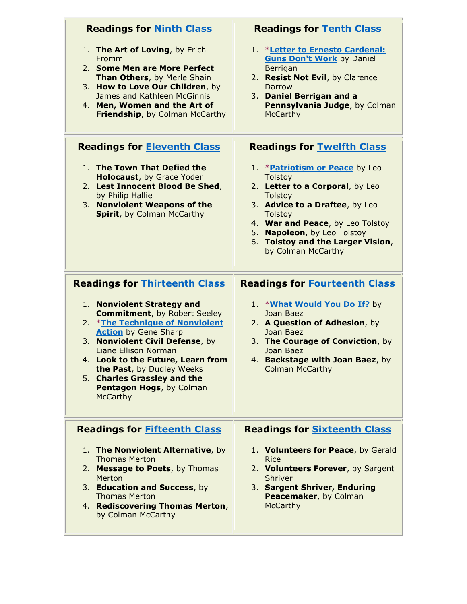| <b>Readings for Ninth Class</b>                                                                                                                                                                                                                                                                                                                                                                  | <b>Readings for Tenth Class</b>                                                                                                                                                                                                                                                                 |
|--------------------------------------------------------------------------------------------------------------------------------------------------------------------------------------------------------------------------------------------------------------------------------------------------------------------------------------------------------------------------------------------------|-------------------------------------------------------------------------------------------------------------------------------------------------------------------------------------------------------------------------------------------------------------------------------------------------|
| 1. The Art of Loving, by Erich<br>Fromm<br>2. Some Men are More Perfect<br>Than Others, by Merle Shain<br>3. How to Love Our Children, by<br>James and Kathleen McGinnis<br>4. Men, Women and the Art of<br>Friendship, by Colman McCarthy                                                                                                                                                       | 1. *Letter to Ernesto Cardenal:<br><b>Guns Don't Work by Daniel</b><br>Berrigan<br>2. Resist Not Evil, by Clarence<br><b>Darrow</b><br>3. Daniel Berrigan and a<br>Pennsylvania Judge, by Colman<br><b>McCarthy</b>                                                                             |
| <b>Readings for Eleventh Class</b>                                                                                                                                                                                                                                                                                                                                                               | <b>Readings for Twelfth Class</b>                                                                                                                                                                                                                                                               |
| 1. The Town That Defied the<br><b>Holocaust, by Grace Yoder</b><br>2. Lest Innocent Blood Be Shed,<br>by Philip Hallie<br>3. Nonviolent Weapons of the<br>Spirit, by Colman McCarthy                                                                                                                                                                                                             | 1. * <b>Patriotism or Peace</b> by Leo<br><b>Tolstoy</b><br>2. Letter to a Corporal, by Leo<br><b>Tolstoy</b><br>3. Advice to a Draftee, by Leo<br><b>Tolstoy</b><br>4. War and Peace, by Leo Tolstoy<br>5. Napoleon, by Leo Tolstoy<br>6. Tolstoy and the Larger Vision,<br>by Colman McCarthy |
| <b>Readings for Thirteenth Class</b><br>1. Nonviolent Strategy and<br><b>Commitment, by Robert Seeley</b><br><b>*The Technique of Nonviolent</b><br>2.<br><b>Action</b> by Gene Sharp<br>3. Nonviolent Civil Defense, by<br>Liane Ellison Norman<br>4. Look to the Future, Learn from<br>the Past, by Dudley Weeks<br>5. Charles Grassley and the<br>Pentagon Hogs, by Colman<br><b>McCarthy</b> | <b>Readings for Fourteenth Class</b><br>1. * <b>What Would You Do If?</b> by<br>Joan Baez<br>2. A Question of Adhesion, by<br>Joan Baez<br>3. The Courage of Conviction, by<br>Joan Baez<br>4. Backstage with Joan Baez, by<br><b>Colman McCarthy</b>                                           |
| <b>Readings for Fifteenth Class</b><br>The Nonviolent Alternative, by<br>1.<br><b>Thomas Merton</b><br>2. Message to Poets, by Thomas<br>Merton<br>3. Education and Success, by<br><b>Thomas Merton</b><br>4. Rediscovering Thomas Merton,<br>by Colman McCarthy                                                                                                                                 | <b>Readings for Sixteenth Class</b><br>1. Volunteers for Peace, by Gerald<br><b>Rice</b><br>2. Volunteers Forever, by Sargent<br><b>Shriver</b><br>3. Sargent Shriver, Enduring<br>Peacemaker, by Colman<br><b>McCarthy</b>                                                                     |